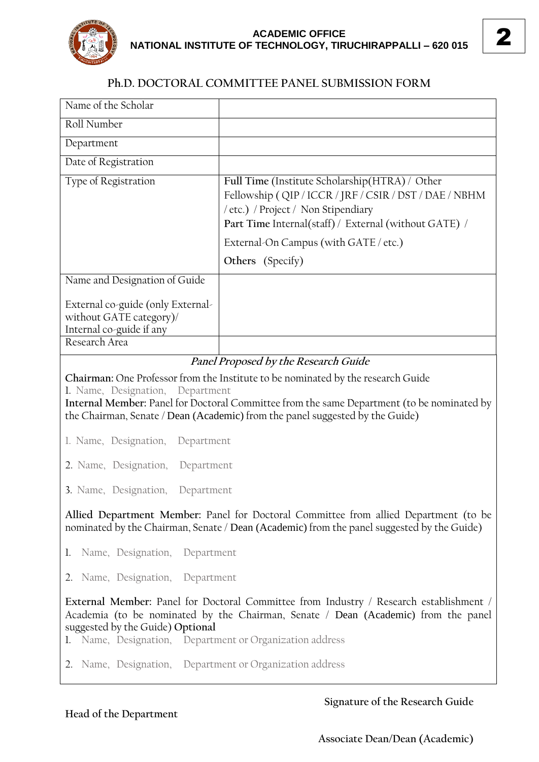

## **Ph.D. DOCTORAL COMMITTEE PANEL SUBMISSION FORM**

| Name of the Scholar                                                                                                                                                                                                                                                                                 |                                                                                                                                                                                                          |
|-----------------------------------------------------------------------------------------------------------------------------------------------------------------------------------------------------------------------------------------------------------------------------------------------------|----------------------------------------------------------------------------------------------------------------------------------------------------------------------------------------------------------|
| Roll Number                                                                                                                                                                                                                                                                                         |                                                                                                                                                                                                          |
| Department                                                                                                                                                                                                                                                                                          |                                                                                                                                                                                                          |
| Date of Registration                                                                                                                                                                                                                                                                                |                                                                                                                                                                                                          |
| Type of Registration                                                                                                                                                                                                                                                                                | Full Time (Institute Scholarship(HTRA) / Other<br>Fellowship (QIP / ICCR / JRF / CSIR / DST / DAE / NBHM<br>/ etc.) / Project / Non Stipendiary<br>Part Time Internal(staff) / External (without GATE) / |
|                                                                                                                                                                                                                                                                                                     | External-On Campus (with GATE / etc.)                                                                                                                                                                    |
|                                                                                                                                                                                                                                                                                                     | Others (Specify)                                                                                                                                                                                         |
| Name and Designation of Guide                                                                                                                                                                                                                                                                       |                                                                                                                                                                                                          |
| External co-guide (only External-<br>without GATE category)/<br>Internal co-guide if any                                                                                                                                                                                                            |                                                                                                                                                                                                          |
| Research Area                                                                                                                                                                                                                                                                                       |                                                                                                                                                                                                          |
| Chairman: One Professor from the Institute to be nominated by the research Guide<br>1. Name, Designation, Department<br>Internal Member: Panel for Doctoral Committee from the same Department (to be nominated by<br>the Chairman, Senate / Dean (Academic) from the panel suggested by the Guide) |                                                                                                                                                                                                          |
| 1. Name, Designation,<br>Department                                                                                                                                                                                                                                                                 |                                                                                                                                                                                                          |
| 2. Name, Designation,<br>Department                                                                                                                                                                                                                                                                 |                                                                                                                                                                                                          |
| 3. Name, Designation, Department                                                                                                                                                                                                                                                                    |                                                                                                                                                                                                          |
| Allied Department Member: Panel for Doctoral Committee from allied Department (to be<br>nominated by the Chairman, Senate / Dean (Academic) from the panel suggested by the Guide)                                                                                                                  |                                                                                                                                                                                                          |
| 1. Name, Designation, Department                                                                                                                                                                                                                                                                    |                                                                                                                                                                                                          |
| 2. Name, Designation, Department                                                                                                                                                                                                                                                                    |                                                                                                                                                                                                          |
| External Member: Panel for Doctoral Committee from Industry / Research establishment /<br>Academia (to be nominated by the Chairman, Senate / Dean (Academic) from the panel<br>suggested by the Guide) Optional<br>1. Name, Designation, Department or Organization address                        |                                                                                                                                                                                                          |
| 2. Name, Designation, Department or Organization address                                                                                                                                                                                                                                            |                                                                                                                                                                                                          |